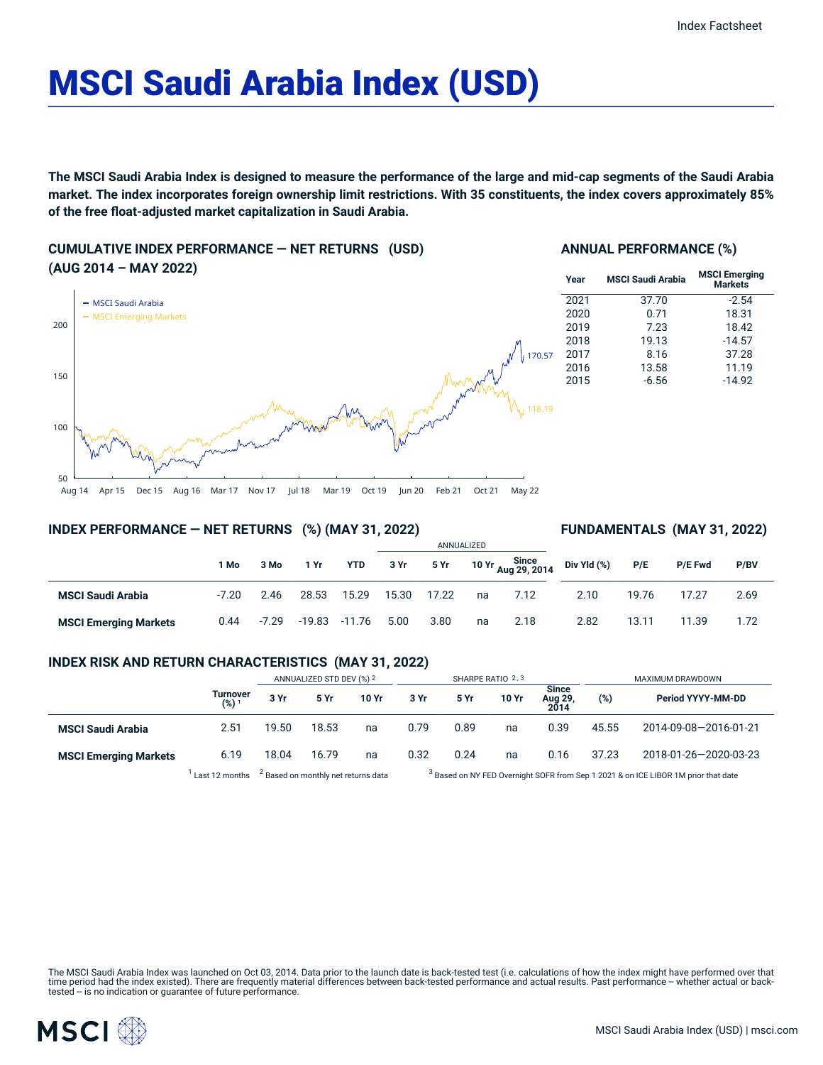# MSCI Saudi Arabia Index (USD)

The MSCI Saudi Arabia Index is designed to measure the performance of the large and mid-cap segments of the Saudi Arabia market. The index incorporates foreign ownership limit restrictions. With 35 constituents, the index covers approximately 85% **of the free float-adjusted market capitalization in Saudi Arabia.**

# **CUMULATIVE INDEX PERFORMANCE — NET RETURNS (USD) (AUG 2014 – MAY 2022)**

## **ANNUAL PERFORMANCE (%)**

| 11171 2022/             | Year | <b>MSCI Saudi Arabia</b> | <b>MSCI Emerging</b><br>Markets |
|-------------------------|------|--------------------------|---------------------------------|
| - MSCI Saudi Arabia     | 2021 | 37.70                    | $-2.54$                         |
| - MSCI Emerging Markets | 2020 | 0.71                     | 18.31                           |
|                         | 2019 | 7.23                     | 18.42                           |
|                         | 2018 | 19.13                    | $-14.57$                        |
| 170.57                  | 2017 | 8.16                     | 37.28                           |
|                         | 2016 | 13.58                    | 11.19                           |
|                         | 2015 | $-6.56$                  | $-14.92$                        |
| 118.19                  |      |                          |                                 |
|                         |      |                          |                                 |

ANNUALIZED

Aug 14 Apr 15 Dec 15 Aug 16 Mar 17 Nov 17 Jul 18 Mar 19 Oct 19 Jun 20 Feb 21 Oct 21 May 22

# **INDEX PERFORMANCE — NET RETURNS (%) (MAY 31, 2022)**

## **FUNDAMENTALS (MAY 31, 2022)**

|                              |         |         |          |            | ANNUALIZED |       |    |                                        |             |       |         |      |
|------------------------------|---------|---------|----------|------------|------------|-------|----|----------------------------------------|-------------|-------|---------|------|
|                              | ∣ Mo    | 3 Mo    | 1 Yr     | <b>YTD</b> | 3 Yr       | 5 Yr  |    | Since<br>10 Yr <sub>Aug</sub> 29, 2014 | Div Yld (%) | P/E   | P/E Fwd | P/BV |
| <b>MSCI Saudi Arabia</b>     | $-7.20$ | 2.46    | 28.53    | 15.29      | 15.30      | 17.22 | na | 7.12                                   | 2.10        | 19.76 | 17.27   | 2.69 |
| <b>MSCI Emerging Markets</b> | 0.44    | $-7.29$ | $-19.83$ | $-11.76$   | 5.00       | 3.80  | na | 2.18                                   | 2.82        | 13.11 | 11.39   | 1.72 |

# **INDEX RISK AND RETURN CHARACTERISTICS (MAY 31, 2022)**

|                              |                     | ANNUALIZED STD DEV (%) 2                       |       |       | SHARPE RATIO 2,3 |      |       |                                 | MAXIMUM DRAWDOWN                                                                              |                       |  |
|------------------------------|---------------------|------------------------------------------------|-------|-------|------------------|------|-------|---------------------------------|-----------------------------------------------------------------------------------------------|-----------------------|--|
|                              | Turnover<br>$(%)^1$ | 3 Yr                                           | 5 Yr  | 10 Yr | 3 Yr             | 5 Yr | 10 Yr | <b>Since</b><br>Aug 29,<br>2014 | (%)                                                                                           | Period YYYY-MM-DD     |  |
| <b>MSCI Saudi Arabia</b>     | 2.51                | 19.50                                          | 18.53 | na    | 0.79             | 0.89 | na    | 0.39                            | 45.55                                                                                         | 2014-09-08-2016-01-21 |  |
| <b>MSCI Emerging Markets</b> | 6.19                | 18.04                                          | 16.79 | na    | 0.32             | 0.24 | na    | 0.16                            | 37.23                                                                                         | 2018-01-26-2020-03-23 |  |
|                              | Last 12 months      | <sup>2</sup> Based on monthly net returns data |       |       |                  |      |       |                                 | <sup>3</sup> Based on NY FED Overnight SOFR from Sep 1 2021 & on ICE LIBOR 1M prior that date |                       |  |

The MSCI Saudi Arabia Index was launched on Oct 03, 2014. Data prior to the launch date is back-tested test (i.e. calculations of how the index might have performed over that time period had the index existed). There are frequently material differences between back-tested performance and actual results. Past performance – whether actual or back-<br>tested – is no indication or guarantee of future



50

100

150

200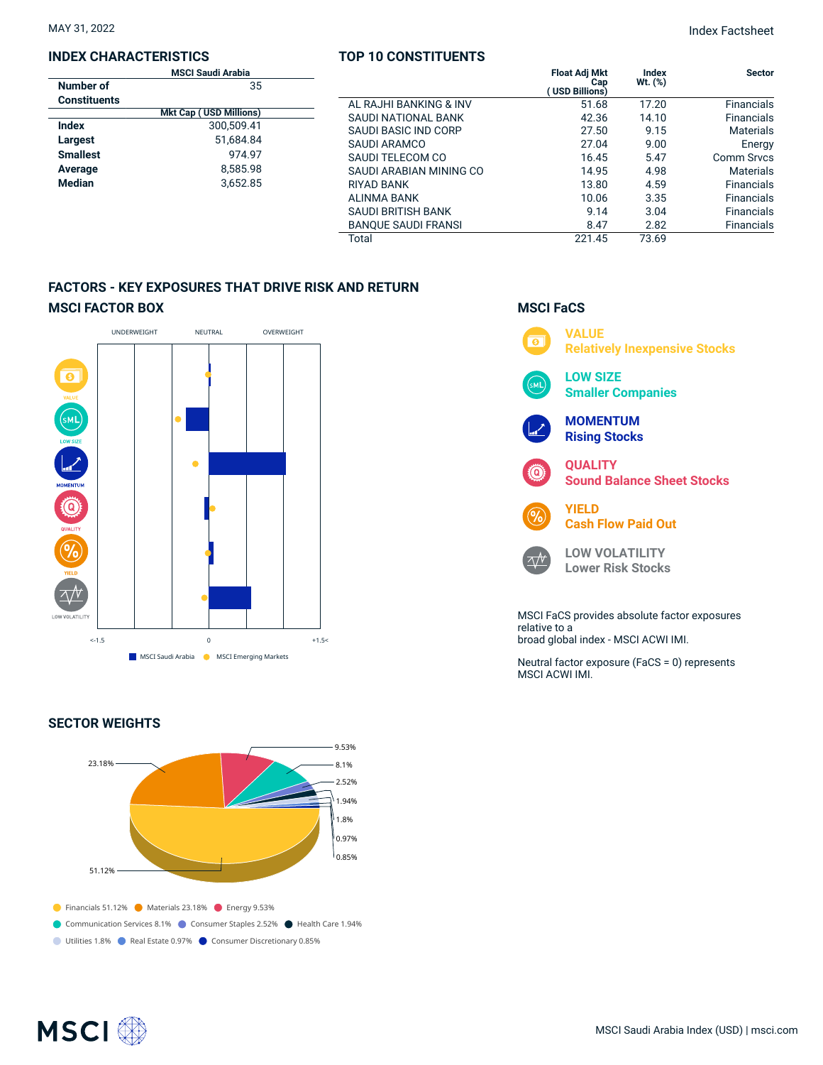## **INDEX CHARACTERISTICS**

| MAY 31, 2022 | <b>Index Factsheet</b> |
|--------------|------------------------|
|              |                        |

|                     | <b>MSCI Saudi Arabia</b>      |                            | <b>Float Adj Mkt</b>  | Index     | <b>Sector</b>     |
|---------------------|-------------------------------|----------------------------|-----------------------|-----------|-------------------|
| Number of           | 35                            |                            | Cap<br>(USD Billions) | $Wt.$ (%) |                   |
| <b>Constituents</b> |                               | AL RAJHI BANKING & INV     | 51.68                 | 17.20     | <b>Financials</b> |
|                     | <b>Mkt Cap (USD Millions)</b> | SAUDI NATIONAL BANK        | 42.36                 | 14.10     | <b>Financials</b> |
| <b>Index</b>        | 300,509.41                    | SAUDI BASIC IND CORP       | 27.50                 | 9.15      | <b>Materials</b>  |
| Largest             | 51,684.84                     | SAUDI ARAMCO               | 27.04                 | 9.00      | Energy            |
| <b>Smallest</b>     | 974.97                        | SAUDI TELECOM CO           | 16.45                 | 5.47      | Comm Srvcs        |
| Average             | 8,585.98                      | SAUDI ARABIAN MINING CO    | 14.95                 | 4.98      | <b>Materials</b>  |
| Median              | 3,652.85                      | <b>RIYAD BANK</b>          | 13.80                 | 4.59      | <b>Financials</b> |
|                     |                               | ALINMA BANK                | 10.06                 | 3.35      | <b>Financials</b> |
|                     |                               | SAUDI BRITISH BANK         | 9.14                  | 3.04      | <b>Financials</b> |
|                     |                               | <b>BANQUE SAUDI FRANSI</b> | 8.47                  | 2.82      | Financials        |
|                     |                               | Total                      | 221.45                | 73.69     |                   |

**TOP 10 CONSTITUENTS**

# **FACTORS - KEY EXPOSURES THAT DRIVE RISK AND RETURN MSCI FACTOR BOX**



# **SECTOR WEIGHTS**



# **MSCI FaCS**



broad global index - MSCI ACWI IMI.

Neutral factor exposure (FaCS = 0) represents MSCI ACWI IMI.